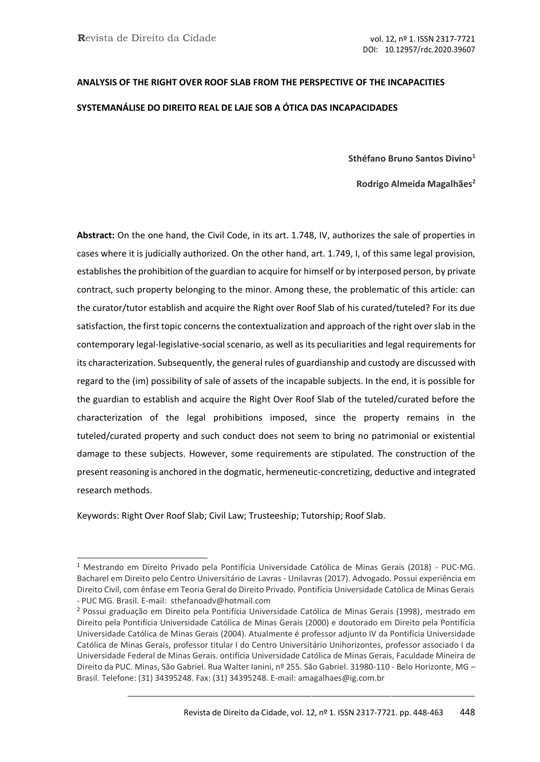# **ANALYSIS OF THE RIGHT OVER ROOF SLAB FROM THE PERSPECTIVE OF THE INCAPACITIES SYSTEMANÁLISE DO DIREITO REAL DE LAJE SOB A ÓTICA DAS INCAPACIDADES**

**Sthéfano Bruno Santos Divino<sup>1</sup>**

**Rodrigo Almeida Magalhães<sup>2</sup>**

**Abstract:** On the one hand, the Civil Code, in its art. 1.748, IV, authorizes the sale of properties in cases where it is judicially authorized. On the other hand, art. 1.749, I, of this same legal provision, establishes the prohibition of the guardian to acquire for himself or by interposed person, by private contract, such property belonging to the minor. Among these, the problematic of this article: can the curator/tutor establish and acquire the Right over Roof Slab of his curated/tuteled? For its due satisfaction, the first topic concerns the contextualization and approach of the right over slab in the contemporary legal-legislative-social scenario, as well as its peculiarities and legal requirements for its characterization. Subsequently, the general rules of guardianship and custody are discussed with regard to the (im) possibility of sale of assets of the incapable subjects. In the end, it is possible for the guardian to establish and acquire the Right Over Roof Slab of the tuteled/curated before the characterization of the legal prohibitions imposed, since the property remains in the tuteled/curated property and such conduct does not seem to bring no patrimonial or existential damage to these subjects. However, some requirements are stipulated. The construction of the present reasoning is anchored in the dogmatic, hermeneutic-concretizing, deductive and integrated research methods.

Keywords: Right Over Roof Slab; Civil Law; Trusteeship; Tutorship; Roof Slab.

<sup>1</sup> Mestrando em Direito Privado pela Pontifícia Universidade Católica de Minas Gerais (2018) - PUC-MG. Bacharel em Direito pelo Centro Universitário de Lavras - Unilavras (2017). Advogado. Possui experiência em Direito Civil, com ênfase em Teoria Geral do Direito Privado. Pontifícia Universidade Católica de Minas Gerais - PUC MG. Brasil. E-mail: [sthefanoadv@hotmail.com](mailto:sthefanoadv@hotmail.com)

<sup>2</sup> Possui graduação em Direito pela Pontifícia Universidade Católica de Minas Gerais (1998), mestrado em Direito pela Pontifícia Universidade Católica de Minas Gerais (2000) e doutorado em Direito pela Pontifícia Universidade Católica de Minas Gerais (2004). Atualmente é professor adjunto IV da Pontifícia Universidade Católica de Minas Gerais, professor titular I do Centro Universitário Unihorizontes, professor associado I da Universidade Federal de Minas Gerais. ontifícia Universidade Católica de Minas Gerais, Faculdade Mineira de Direito da PUC. Minas, São Gabriel. Rua Walter Ianini, nº 255. São Gabriel. 31980-110 - Belo Horizonte, MG – Brasil. Telefone: (31) 34395248. Fax: (31) 34395248. E-mail: [amagalhaes@ig.com.br](mailto:amagalhaes@ig.com.br)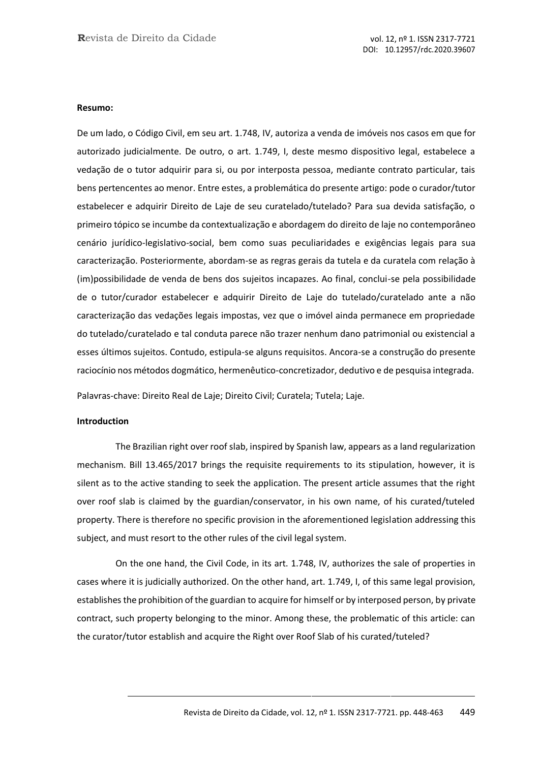#### **Resumo:**

De um lado, o Código Civil, em seu art. 1.748, IV, autoriza a venda de imóveis nos casos em que for autorizado judicialmente. De outro, o art. 1.749, I, deste mesmo dispositivo legal, estabelece a vedação de o tutor adquirir para si, ou por interposta pessoa, mediante contrato particular, tais bens pertencentes ao menor. Entre estes, a problemática do presente artigo: pode o curador/tutor estabelecer e adquirir Direito de Laje de seu curatelado/tutelado? Para sua devida satisfação, o primeiro tópico se incumbe da contextualização e abordagem do direito de laje no contemporâneo cenário jurídico-legislativo-social, bem como suas peculiaridades e exigências legais para sua caracterização. Posteriormente, abordam-se as regras gerais da tutela e da curatela com relação à (im)possibilidade de venda de bens dos sujeitos incapazes. Ao final, conclui-se pela possibilidade de o tutor/curador estabelecer e adquirir Direito de Laje do tutelado/curatelado ante a não caracterização das vedações legais impostas, vez que o imóvel ainda permanece em propriedade do tutelado/curatelado e tal conduta parece não trazer nenhum dano patrimonial ou existencial a esses últimos sujeitos. Contudo, estipula-se alguns requisitos. Ancora-se a construção do presente raciocínio nos métodos dogmático, hermenêutico-concretizador, dedutivo e de pesquisa integrada.

Palavras-chave: Direito Real de Laje; Direito Civil; Curatela; Tutela; Laje.

#### **Introduction**

The Brazilian right over roof slab, inspired by Spanish law, appears as a land regularization mechanism. Bill 13.465/2017 brings the requisite requirements to its stipulation, however, it is silent as to the active standing to seek the application. The present article assumes that the right over roof slab is claimed by the guardian/conservator, in his own name, of his curated/tuteled property. There is therefore no specific provision in the aforementioned legislation addressing this subject, and must resort to the other rules of the civil legal system.

On the one hand, the Civil Code, in its art. 1.748, IV, authorizes the sale of properties in cases where it is judicially authorized. On the other hand, art. 1.749, I, of this same legal provision, establishes the prohibition of the guardian to acquire for himself or by interposed person, by private contract, such property belonging to the minor. Among these, the problematic of this article: can the curator/tutor establish and acquire the Right over Roof Slab of his curated/tuteled?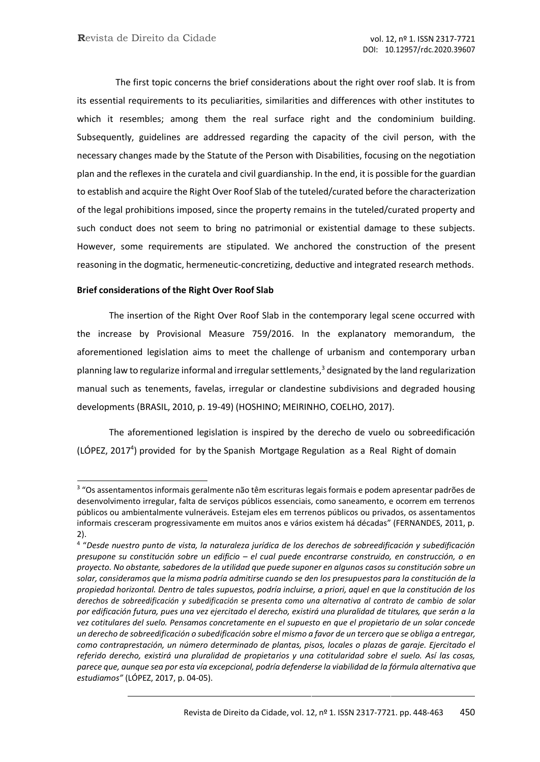The first topic concerns the brief considerations about the right over roof slab. It is from its essential requirements to its peculiarities, similarities and differences with other institutes to which it resembles; among them the real surface right and the condominium building. Subsequently, guidelines are addressed regarding the capacity of the civil person, with the necessary changes made by the Statute of the Person with Disabilities, focusing on the negotiation plan and the reflexes in the curatela and civil guardianship. In the end, it is possible for the guardian to establish and acquire the Right Over Roof Slab of the tuteled/curated before the characterization of the legal prohibitions imposed, since the property remains in the tuteled/curated property and such conduct does not seem to bring no patrimonial or existential damage to these subjects. However, some requirements are stipulated. We anchored the construction of the present reasoning in the dogmatic, hermeneutic-concretizing, deductive and integrated research methods.

## **Brief considerations of the Right Over Roof Slab**

The insertion of the Right Over Roof Slab in the contemporary legal scene occurred with the increase by Provisional Measure 759/2016. In the explanatory memorandum, the aforementioned legislation aims to meet the challenge of urbanism and contemporary urban planning law to regularize informal and irregular settlements, $3$  designated by the land regularization manual such as tenements, favelas, irregular or clandestine subdivisions and degraded housing developments (BRASIL, 2010, p. 19-49) (HOSHINO; MEIRINHO, COELHO, 2017).

The aforementioned legislation is inspired by the derecho de vuelo ou sobreedificación (LÓPEZ, 2017<sup>4</sup> ) provided for by the Spanish Mortgage Regulation as a Real Right of domain

<sup>&</sup>lt;sup>3</sup> "Os assentamentos informais geralmente não têm escrituras legais formais e podem apresentar padrões de desenvolvimento irregular, falta de serviços públicos essenciais, como saneamento, e ocorrem em terrenos públicos ou ambientalmente vulneráveis. Estejam eles em terrenos públicos ou privados, os assentamentos informais cresceram progressivamente em muitos anos e vários existem há décadas" (FERNANDES, 2011, p. 2).

<sup>4</sup> "*Desde nuestro punto de vista, la naturaleza jurídica de los derechos de sobreedificación y subedificación presupone su constitución sobre un edificio – el cual puede encontrarse construido, en construcción, o en* proyecto. No obstante, sabedores de la utilidad que puede suponer en algunos casos su constitución sobre un solar, consideramos que la misma podría admitirse cuando se den los presupuestos para la constitución de la *propiedad horizontal. Dentro de tales supuestos, podría incluirse, a priori, aquel en que la constitución de los derechos de sobreedificación y subedificación se presenta como una alternativa al contrato de cambio de solar por edificación futura, pues una vez ejercitado el derecho, existirá una pluralidad de titulares, que serán a la vez cotitulares del suelo. Pensamos concretamente en el supuesto en que el propietario de un solar concede* un derecho de sobreedificación o subedificación sobre el mismo a favor de un tercero que se obliga a entregar, *como contraprestación, un número determinado de plantas, pisos, locales o plazas de garaje. Ejercitado el referido derecho, existirá una pluralidad de propietarios y una cotitularidad sobre el suelo. Así las cosas,* parece que, aunque sea por esta vía excepcional, podría defenderse la viabilidad de la fórmula alternativa que *estudiamos"* (LÓPEZ, 2017, p. 04-05).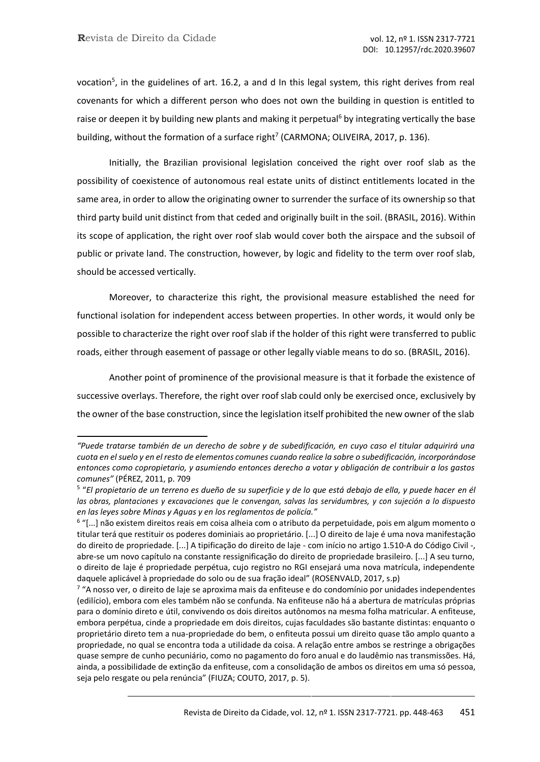vocation<sup>5</sup>, in the guidelines of art. 16.2, a and d In this legal system, this right derives from real covenants for which a different person who does not own the building in question is entitled to raise or deepen it by building new plants and making it perpetual<sup>6</sup> by integrating vertically the base building, without the formation of a surface right<sup>7</sup> (CARMONA; OLIVEIRA, 2017, p. 136).

Initially, the Brazilian provisional legislation conceived the right over roof slab as the possibility of coexistence of autonomous real estate units of distinct entitlements located in the same area, in order to allow the originating owner to surrender the surface of its ownership so that third party build unit distinct from that ceded and originally built in the soil. (BRASIL, 2016). Within its scope of application, the right over roof slab would cover both the airspace and the subsoil of public or private land. The construction, however, by logic and fidelity to the term over roof slab, should be accessed vertically.

Moreover, to characterize this right, the provisional measure established the need for functional isolation for independent access between properties. In other words, it would only be possible to characterize the right over roof slab if the holder of this right were transferred to public roads, either through easement of passage or other legally viable means to do so. (BRASIL, 2016).

Another point of prominence of the provisional measure is that it forbade the existence of successive overlays. Therefore, the right over roof slab could only be exercised once, exclusively by the owner of the base construction, since the legislation itself prohibited the new owner of the slab

*<sup>&</sup>quot;Puede tratarse también de un derecho de sobre y de subedificación, en cuyo caso el titular adquirirá una* cuota en el suelo y en el resto de elementos comunes cuando realice la sobre o subedificación, incorporándose *entonces como copropietario, y asumiendo entonces derecho a votar y obligación de contribuir a los gastos comunes"* (PÉREZ, 2011, p. 709

<sup>5</sup> "*El propietario de un terreno es dueño de su superficie y de lo que está debajo de ella, y puede hacer en él* las obras, plantaciones y excavaciones que le convengan, salvas las servidumbres, y con sujeción a lo dispuesto *en las leyes sobre Minas y Aguas y en los reglamentos de policía."*

<sup>&</sup>lt;sup>6</sup> "[...] não existem direitos reais em coisa alheia com o atributo da perpetuidade, pois em algum momento o titular terá que restituir os poderes dominiais ao proprietário. [...] O direito de laje é uma nova manifestação do direito de propriedade. [...] A tipificação do direito de laje - com início no artigo 1.510-A do Código Civil -, abre-se um novo capítulo na constante ressignificação do direito de propriedade brasileiro. [...] A seu turno, o direito de laje é propriedade perpétua, cujo registro no RGI ensejará uma nova matrícula, independente daquele aplicável à propriedade do solo ou de sua fração ideal" (ROSENVALD, 2017, s.p)

<sup>&</sup>lt;sup>7</sup> "A nosso ver, o direito de laje se aproxima mais da enfiteuse e do condomínio por unidades independentes (edilício), embora com eles também não se confunda. Na enfiteuse não há a abertura de matrículas próprias para o domínio direto e útil, convivendo os dois direitos autônomos na mesma folha matricular. A enfiteuse, embora perpétua, cinde a propriedade em dois direitos, cujas faculdades são bastante distintas: enquanto o proprietário direto tem a nua-propriedade do bem, o enfiteuta possui um direito quase tão amplo quanto a propriedade, no qual se encontra toda a utilidade da coisa. A relação entre ambos se restringe a obrigações quase sempre de cunho pecuniário, como no pagamento do foro anual e do laudêmio nas transmissões. Há, ainda, a possibilidade de extinção da enfiteuse, com a consolidação de ambos os direitos em uma só pessoa, seja pelo resgate ou pela renúncia" (FIUZA; COUTO, 2017, p. 5).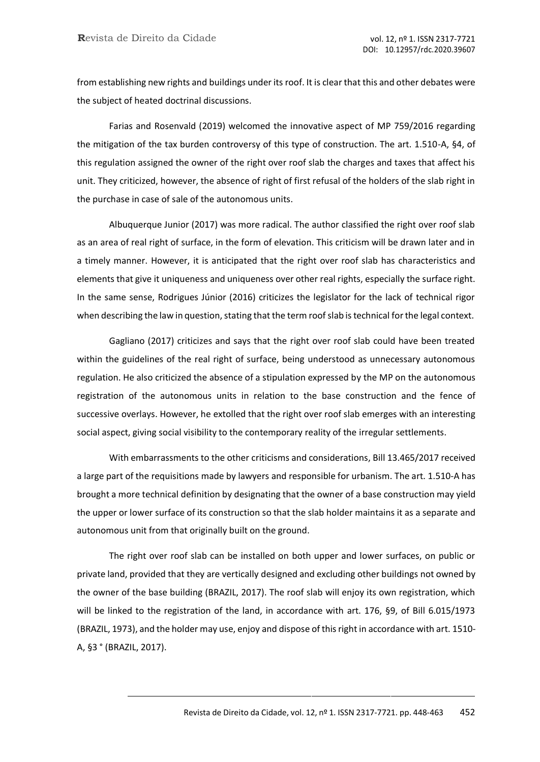from establishing new rights and buildings under its roof. It is clear that this and other debates were the subject of heated doctrinal discussions.

Farias and Rosenvald (2019) welcomed the innovative aspect of MP 759/2016 regarding the mitigation of the tax burden controversy of this type of construction. The art. 1.510-A, §4, of this regulation assigned the owner of the right over roof slab the charges and taxes that affect his unit. They criticized, however, the absence of right of first refusal of the holders of the slab right in the purchase in case of sale of the autonomous units.

Albuquerque Junior (2017) was more radical. The author classified the right over roof slab as an area of real right of surface, in the form of elevation. This criticism will be drawn later and in a timely manner. However, it is anticipated that the right over roof slab has characteristics and elements that give it uniqueness and uniqueness over other real rights, especially the surface right. In the same sense, Rodrigues Júnior (2016) criticizes the legislator for the lack of technical rigor when describing the law in question, stating that the term roof slab is technical for the legal context.

Gagliano (2017) criticizes and says that the right over roof slab could have been treated within the guidelines of the real right of surface, being understood as unnecessary autonomous regulation. He also criticized the absence of a stipulation expressed by the MP on the autonomous registration of the autonomous units in relation to the base construction and the fence of successive overlays. However, he extolled that the right over roof slab emerges with an interesting social aspect, giving social visibility to the contemporary reality of the irregular settlements.

With embarrassments to the other criticisms and considerations, Bill 13.465/2017 received a large part of the requisitions made by lawyers and responsible for urbanism. The art. 1.510-A has brought a more technical definition by designating that the owner of a base construction may yield the upper or lower surface of its construction so that the slab holder maintains it as a separate and autonomous unit from that originally built on the ground.

The right over roof slab can be installed on both upper and lower surfaces, on public or private land, provided that they are vertically designed and excluding other buildings not owned by the owner of the base building (BRAZIL, 2017). The roof slab will enjoy its own registration, which will be linked to the registration of the land, in accordance with art. 176, §9, of Bill 6.015/1973 (BRAZIL, 1973), and the holder may use, enjoy and dispose of thisright in accordance with art. 1510- A, §3 ° (BRAZIL, 2017).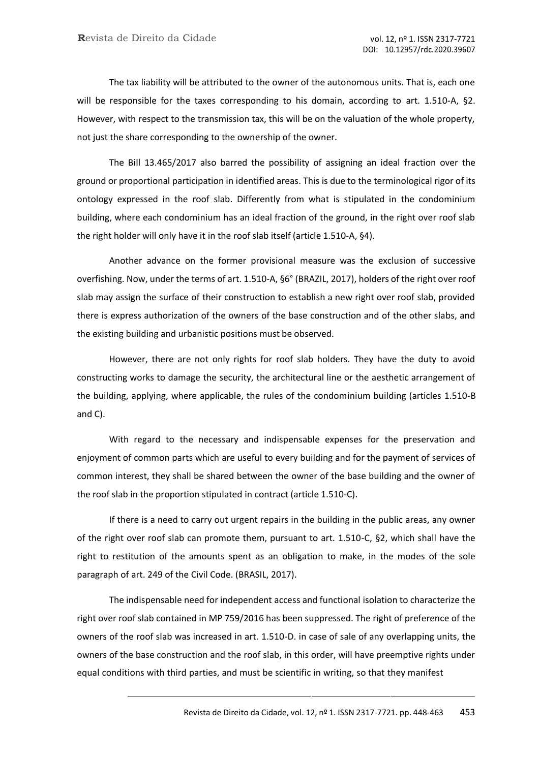The tax liability will be attributed to the owner of the autonomous units. That is, each one will be responsible for the taxes corresponding to his domain, according to art. 1.510-A, §2. However, with respect to the transmission tax, this will be on the valuation of the whole property, not just the share corresponding to the ownership of the owner.

The Bill 13.465/2017 also barred the possibility of assigning an ideal fraction over the ground or proportional participation in identified areas. This is due to the terminological rigor of its ontology expressed in the roof slab. Differently from what is stipulated in the condominium building, where each condominium has an ideal fraction of the ground, in the right over roof slab the right holder will only have it in the roof slab itself (article 1.510-A, §4).

Another advance on the former provisional measure was the exclusion of successive overfishing. Now, under the terms of art. 1.510-A, §6° (BRAZIL, 2017), holders of the right over roof slab may assign the surface of their construction to establish a new right over roof slab, provided there is express authorization of the owners of the base construction and of the other slabs, and the existing building and urbanistic positions must be observed.

However, there are not only rights for roof slab holders. They have the duty to avoid constructing works to damage the security, the architectural line or the aesthetic arrangement of the building, applying, where applicable, the rules of the condominium building (articles 1.510-B and C).

With regard to the necessary and indispensable expenses for the preservation and enjoyment of common parts which are useful to every building and for the payment of services of common interest, they shall be shared between the owner of the base building and the owner of the roof slab in the proportion stipulated in contract (article 1.510-C).

If there is a need to carry out urgent repairs in the building in the public areas, any owner of the right over roof slab can promote them, pursuant to art. 1.510-C, §2, which shall have the right to restitution of the amounts spent as an obligation to make, in the modes of the sole paragraph of art. 249 of the Civil Code. (BRASIL, 2017).

The indispensable need for independent access and functional isolation to characterize the right over roof slab contained in MP 759/2016 has been suppressed. The right of preference of the owners of the roof slab was increased in art. 1.510-D. in case of sale of any overlapping units, the owners of the base construction and the roof slab, in this order, will have preemptive rights under equal conditions with third parties, and must be scientific in writing, so that they manifest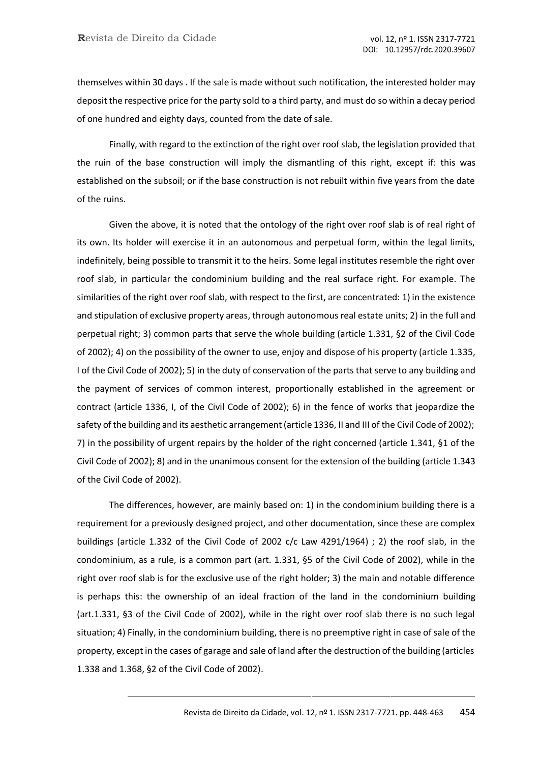themselves within 30 days . If the sale is made without such notification, the interested holder may deposit the respective price for the party sold to a third party, and must do so within a decay period of one hundred and eighty days, counted from the date of sale.

Finally, with regard to the extinction of the right over roof slab, the legislation provided that the ruin of the base construction will imply the dismantling of this right, except if: this was established on the subsoil; or if the base construction is not rebuilt within five years from the date of the ruins.

Given the above, it is noted that the ontology of the right over roof slab is of real right of its own. Its holder will exercise it in an autonomous and perpetual form, within the legal limits, indefinitely, being possible to transmit it to the heirs. Some legal institutes resemble the right over roof slab, in particular the condominium building and the real surface right. For example. The similarities of the right over roof slab, with respect to the first, are concentrated: 1) in the existence and stipulation of exclusive property areas, through autonomous real estate units; 2) in the full and perpetual right; 3) common parts that serve the whole building (article 1.331, §2 of the Civil Code of 2002); 4) on the possibility of the owner to use, enjoy and dispose of his property (article 1.335, I of the Civil Code of 2002); 5) in the duty of conservation of the parts that serve to any building and the payment of services of common interest, proportionally established in the agreement or contract (article 1336, I, of the Civil Code of 2002); 6) in the fence of works that jeopardize the safety of the building and its aesthetic arrangement (article 1336, II and III of the Civil Code of 2002); 7) in the possibility of urgent repairs by the holder of the right concerned (article 1.341, §1 of the Civil Code of 2002); 8) and in the unanimous consent for the extension of the building (article 1.343 of the Civil Code of 2002).

The differences, however, are mainly based on: 1) in the condominium building there is a requirement for a previously designed project, and other documentation, since these are complex buildings (article 1.332 of the Civil Code of 2002 c/c Law 4291/1964) ; 2) the roof slab, in the condominium, as a rule, is a common part (art. 1.331, §5 of the Civil Code of 2002), while in the right over roof slab is for the exclusive use of the right holder; 3) the main and notable difference is perhaps this: the ownership of an ideal fraction of the land in the condominium building (art.1.331, §3 of the Civil Code of 2002), while in the right over roof slab there is no such legal situation; 4) Finally, in the condominium building, there is no preemptive right in case of sale of the property, except in the cases of garage and sale of land after the destruction of the building (articles 1.338 and 1.368, §2 of the Civil Code of 2002).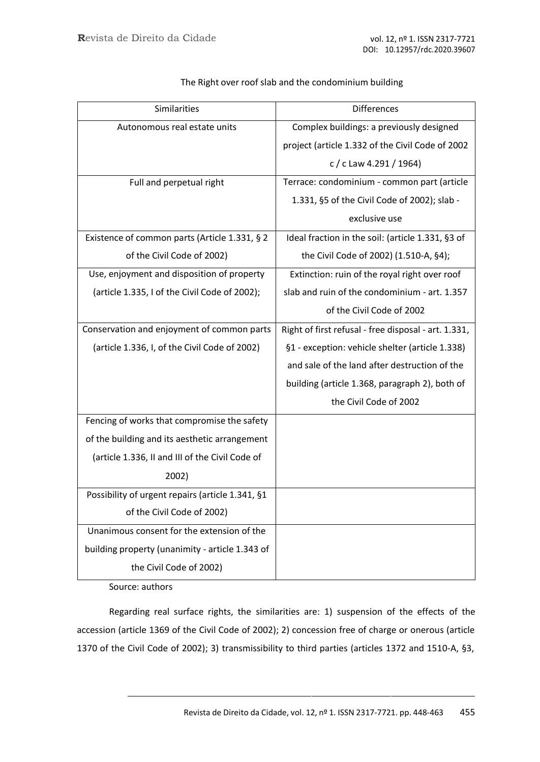| Similarities                                     | <b>Differences</b>                                   |
|--------------------------------------------------|------------------------------------------------------|
| Autonomous real estate units                     | Complex buildings: a previously designed             |
|                                                  | project (article 1.332 of the Civil Code of 2002     |
|                                                  | c/c Law 4.291/1964)                                  |
| Full and perpetual right                         | Terrace: condominium - common part (article          |
|                                                  | 1.331, §5 of the Civil Code of 2002); slab -         |
|                                                  | exclusive use                                        |
| Existence of common parts (Article 1.331, § 2    | Ideal fraction in the soil: (article 1.331, §3 of    |
| of the Civil Code of 2002)                       | the Civil Code of 2002) (1.510-A, §4);               |
| Use, enjoyment and disposition of property       | Extinction: ruin of the royal right over roof        |
| (article 1.335, I of the Civil Code of 2002);    | slab and ruin of the condominium - art. 1.357        |
|                                                  | of the Civil Code of 2002                            |
| Conservation and enjoyment of common parts       | Right of first refusal - free disposal - art. 1.331, |
| (article 1.336, I, of the Civil Code of 2002)    | §1 - exception: vehicle shelter (article 1.338)      |
|                                                  | and sale of the land after destruction of the        |
|                                                  | building (article 1.368, paragraph 2), both of       |
|                                                  | the Civil Code of 2002                               |
| Fencing of works that compromise the safety      |                                                      |
| of the building and its aesthetic arrangement    |                                                      |
| (article 1.336, II and III of the Civil Code of  |                                                      |
| 2002)                                            |                                                      |
| Possibility of urgent repairs (article 1.341, §1 |                                                      |
| of the Civil Code of 2002)                       |                                                      |
| Unanimous consent for the extension of the       |                                                      |
| building property (unanimity - article 1.343 of  |                                                      |
| the Civil Code of 2002)                          |                                                      |

The Right over roof slab and the condominium building

Source: authors

Regarding real surface rights, the similarities are: 1) suspension of the effects of the accession (article 1369 of the Civil Code of 2002); 2) concession free of charge or onerous (article 1370 of the Civil Code of 2002); 3) transmissibility to third parties (articles 1372 and 1510-A, §3,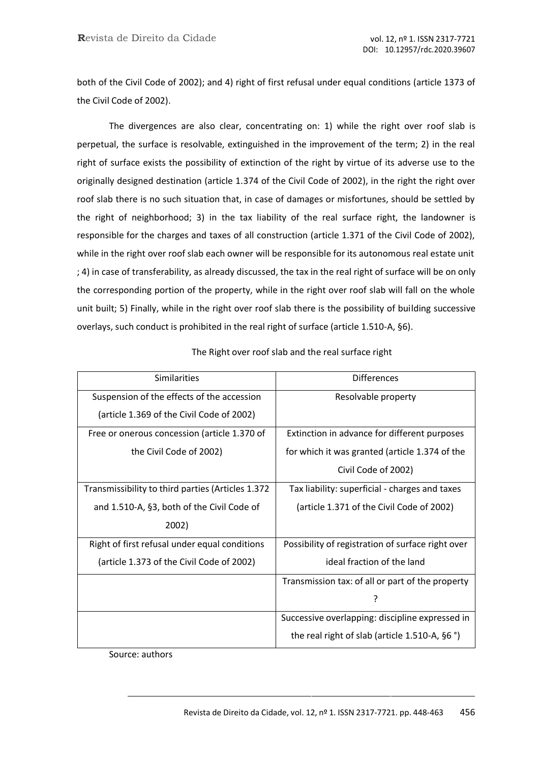both of the Civil Code of 2002); and 4) right of first refusal under equal conditions (article 1373 of the Civil Code of 2002).

The divergences are also clear, concentrating on: 1) while the right over roof slab is perpetual, the surface is resolvable, extinguished in the improvement of the term; 2) in the real right of surface exists the possibility of extinction of the right by virtue of its adverse use to the originally designed destination (article 1.374 of the Civil Code of 2002), in the right the right over roof slab there is no such situation that, in case of damages or misfortunes, should be settled by the right of neighborhood; 3) in the tax liability of the real surface right, the landowner is responsible for the charges and taxes of all construction (article 1.371 of the Civil Code of 2002), while in the right over roof slab each owner will be responsible for its autonomous real estate unit ; 4) in case of transferability, as already discussed, the tax in the real right of surface will be on only the corresponding portion of the property, while in the right over roof slab will fall on the whole unit built; 5) Finally, while in the right over roof slab there is the possibility of building successive overlays, such conduct is prohibited in the real right of surface (article 1.510-A, §6).

| <b>Similarities</b>                               | <b>Differences</b>                                |
|---------------------------------------------------|---------------------------------------------------|
| Suspension of the effects of the accession        | Resolvable property                               |
| (article 1.369 of the Civil Code of 2002)         |                                                   |
| Free or onerous concession (article 1.370 of      | Extinction in advance for different purposes      |
| the Civil Code of 2002)                           | for which it was granted (article 1.374 of the    |
|                                                   | Civil Code of 2002)                               |
| Transmissibility to third parties (Articles 1.372 | Tax liability: superficial - charges and taxes    |
| and 1.510-A, §3, both of the Civil Code of        | (article 1.371 of the Civil Code of 2002)         |
| 2002)                                             |                                                   |
| Right of first refusal under equal conditions     | Possibility of registration of surface right over |
| (article 1.373 of the Civil Code of 2002)         | ideal fraction of the land                        |
|                                                   | Transmission tax: of all or part of the property  |
|                                                   | ?                                                 |
|                                                   | Successive overlapping: discipline expressed in   |
|                                                   | the real right of slab (article 1.510-A, $\S6$ °) |

The Right over roof slab and the real surface right

Source: authors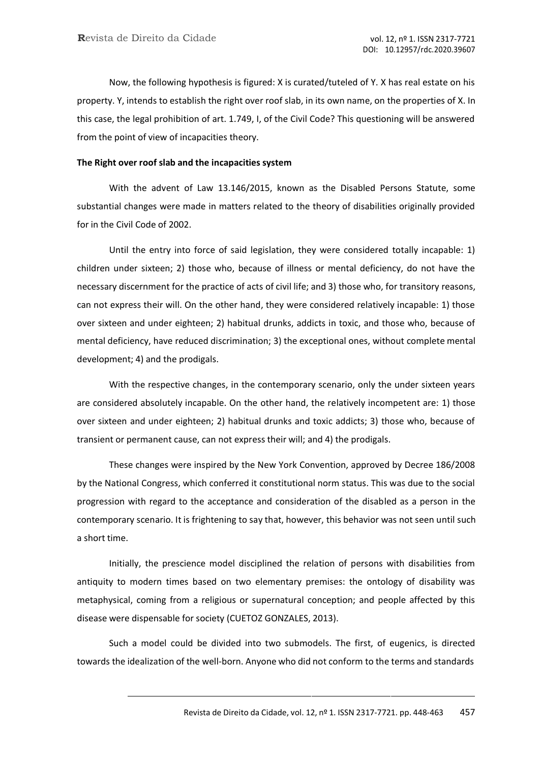Now, the following hypothesis is figured: X is curated/tuteled of Y. X has real estate on his property. Y, intends to establish the right over roof slab, in its own name, on the properties of X. In this case, the legal prohibition of art. 1.749, I, of the Civil Code? This questioning will be answered from the point of view of incapacities theory.

#### **The Right over roof slab and the incapacities system**

With the advent of Law 13.146/2015, known as the Disabled Persons Statute, some substantial changes were made in matters related to the theory of disabilities originally provided for in the Civil Code of 2002.

Until the entry into force of said legislation, they were considered totally incapable: 1) children under sixteen; 2) those who, because of illness or mental deficiency, do not have the necessary discernment for the practice of acts of civil life; and 3) those who, for transitory reasons, can not express their will. On the other hand, they were considered relatively incapable: 1) those over sixteen and under eighteen; 2) habitual drunks, addicts in toxic, and those who, because of mental deficiency, have reduced discrimination; 3) the exceptional ones, without complete mental development; 4) and the prodigals.

With the respective changes, in the contemporary scenario, only the under sixteen years are considered absolutely incapable. On the other hand, the relatively incompetent are: 1) those over sixteen and under eighteen; 2) habitual drunks and toxic addicts; 3) those who, because of transient or permanent cause, can not express their will; and 4) the prodigals.

These changes were inspired by the New York Convention, approved by Decree 186/2008 by the National Congress, which conferred it constitutional norm status. This was due to the social progression with regard to the acceptance and consideration of the disabled as a person in the contemporary scenario. It is frightening to say that, however, this behavior was not seen until such a short time.

Initially, the prescience model disciplined the relation of persons with disabilities from antiquity to modern times based on two elementary premises: the ontology of disability was metaphysical, coming from a religious or supernatural conception; and people affected by this disease were dispensable for society (CUETOZ GONZALES, 2013).

Such a model could be divided into two submodels. The first, of eugenics, is directed towards the idealization of the well-born. Anyone who did not conform to the terms and standards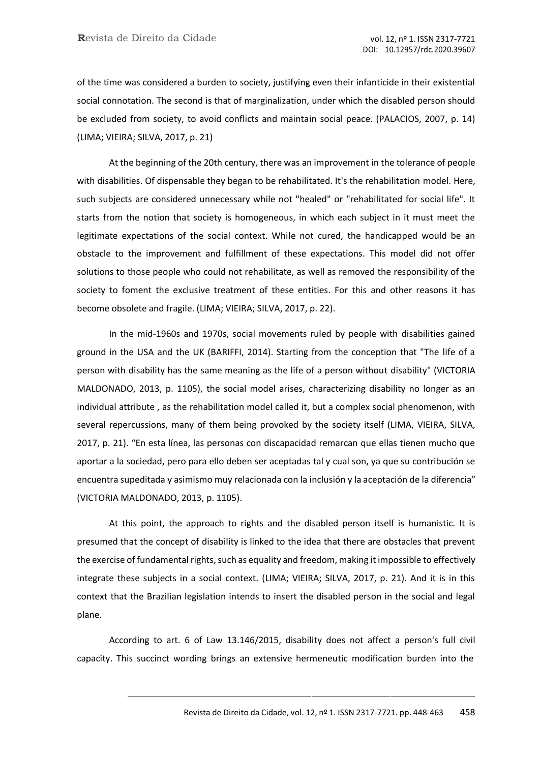of the time was considered a burden to society, justifying even their infanticide in their existential social connotation. The second is that of marginalization, under which the disabled person should be excluded from society, to avoid conflicts and maintain social peace. (PALACIOS, 2007, p. 14) (LIMA; VIEIRA; SILVA, 2017, p. 21)

At the beginning of the 20th century, there was an improvement in the tolerance of people with disabilities. Of dispensable they began to be rehabilitated. It's the rehabilitation model. Here, such subjects are considered unnecessary while not "healed" or "rehabilitated for social life". It starts from the notion that society is homogeneous, in which each subject in it must meet the legitimate expectations of the social context. While not cured, the handicapped would be an obstacle to the improvement and fulfillment of these expectations. This model did not offer solutions to those people who could not rehabilitate, as well as removed the responsibility of the society to foment the exclusive treatment of these entities. For this and other reasons it has become obsolete and fragile. (LIMA; VIEIRA; SILVA, 2017, p. 22).

In the mid-1960s and 1970s, social movements ruled by people with disabilities gained ground in the USA and the UK (BARIFFI, 2014). Starting from the conception that "The life of a person with disability has the same meaning as the life of a person without disability" (VICTORIA MALDONADO, 2013, p. 1105), the social model arises, characterizing disability no longer as an individual attribute , as the rehabilitation model called it, but a complex social phenomenon, with several repercussions, many of them being provoked by the society itself (LIMA, VIEIRA, SILVA, 2017, p. 21). "En esta línea, las personas con discapacidad remarcan que ellas tienen mucho que aportar a la sociedad, pero para ello deben ser aceptadas tal y cual son, ya que su contribución se encuentra supeditada y asimismo muy relacionada con la inclusión y la aceptación de la diferencia" (VICTORIA MALDONADO, 2013, p. 1105).

At this point, the approach to rights and the disabled person itself is humanistic. It is presumed that the concept of disability is linked to the idea that there are obstacles that prevent the exercise of fundamental rights, such as equality and freedom, making it impossible to effectively integrate these subjects in a social context. (LIMA; VIEIRA; SILVA, 2017, p. 21). And it is in this context that the Brazilian legislation intends to insert the disabled person in the social and legal plane.

According to art. 6 of Law 13.146/2015, disability does not affect a person's full civil capacity. This succinct wording brings an extensive hermeneutic modification burden into the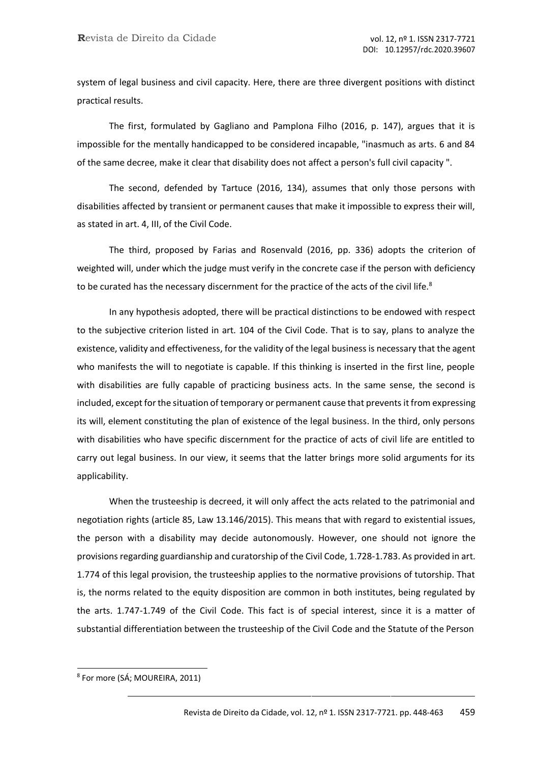system of legal business and civil capacity. Here, there are three divergent positions with distinct practical results.

The first, formulated by Gagliano and Pamplona Filho (2016, p. 147), argues that it is impossible for the mentally handicapped to be considered incapable, "inasmuch as arts. 6 and 84 of the same decree, make it clear that disability does not affect a person's full civil capacity ".

The second, defended by Tartuce (2016, 134), assumes that only those persons with disabilities affected by transient or permanent causes that make it impossible to express their will, as stated in art. 4, III, of the Civil Code.

The third, proposed by Farias and Rosenvald (2016, pp. 336) adopts the criterion of weighted will, under which the judge must verify in the concrete case if the person with deficiency to be curated has the necessary discernment for the practice of the acts of the civil life. $8$ 

In any hypothesis adopted, there will be practical distinctions to be endowed with respect to the subjective criterion listed in art. 104 of the Civil Code. That is to say, plans to analyze the existence, validity and effectiveness, for the validity of the legal business is necessary that the agent who manifests the will to negotiate is capable. If this thinking is inserted in the first line, people with disabilities are fully capable of practicing business acts. In the same sense, the second is included, except for the situation of temporary or permanent cause that prevents it from expressing its will, element constituting the plan of existence of the legal business. In the third, only persons with disabilities who have specific discernment for the practice of acts of civil life are entitled to carry out legal business. In our view, it seems that the latter brings more solid arguments for its applicability.

When the trusteeship is decreed, it will only affect the acts related to the patrimonial and negotiation rights (article 85, Law 13.146/2015). This means that with regard to existential issues, the person with a disability may decide autonomously. However, one should not ignore the provisions regarding guardianship and curatorship of the Civil Code, 1.728-1.783. As provided in art. 1.774 of this legal provision, the trusteeship applies to the normative provisions of tutorship. That is, the norms related to the equity disposition are common in both institutes, being regulated by the arts. 1.747-1.749 of the Civil Code. This fact is of special interest, since it is a matter of substantial differentiation between the trusteeship of the Civil Code and the Statute of the Person

<sup>8</sup> For more (SÁ; MOUREIRA, 2011)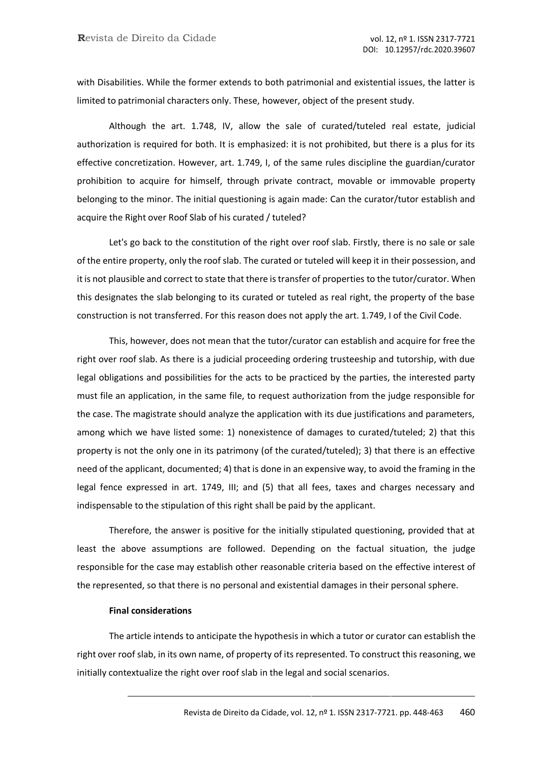with Disabilities. While the former extends to both patrimonial and existential issues, the latter is limited to patrimonial characters only. These, however, object of the present study.

Although the art. 1.748, IV, allow the sale of curated/tuteled real estate, judicial authorization is required for both. It is emphasized: it is not prohibited, but there is a plus for its effective concretization. However, art. 1.749, I, of the same rules discipline the guardian/curator prohibition to acquire for himself, through private contract, movable or immovable property belonging to the minor. The initial questioning is again made: Can the curator/tutor establish and acquire the Right over Roof Slab of his curated / tuteled?

Let's go back to the constitution of the right over roof slab. Firstly, there is no sale or sale of the entire property, only the roof slab. The curated or tuteled will keep it in their possession, and it is not plausible and correct to state that there is transfer of properties to the tutor/curator. When this designates the slab belonging to its curated or tuteled as real right, the property of the base construction is not transferred. For this reason does not apply the art. 1.749, I of the Civil Code.

This, however, does not mean that the tutor/curator can establish and acquire for free the right over roof slab. As there is a judicial proceeding ordering trusteeship and tutorship, with due legal obligations and possibilities for the acts to be practiced by the parties, the interested party must file an application, in the same file, to request authorization from the judge responsible for the case. The magistrate should analyze the application with its due justifications and parameters, among which we have listed some: 1) nonexistence of damages to curated/tuteled; 2) that this property is not the only one in its patrimony (of the curated/tuteled); 3) that there is an effective need of the applicant, documented; 4) that is done in an expensive way, to avoid the framing in the legal fence expressed in art. 1749, III; and (5) that all fees, taxes and charges necessary and indispensable to the stipulation of this right shall be paid by the applicant.

Therefore, the answer is positive for the initially stipulated questioning, provided that at least the above assumptions are followed. Depending on the factual situation, the judge responsible for the case may establish other reasonable criteria based on the effective interest of the represented, so that there is no personal and existential damages in their personal sphere.

## **Final considerations**

The article intends to anticipate the hypothesis in which a tutor or curator can establish the right over roof slab, in its own name, of property of its represented. To construct this reasoning, we initially contextualize the right over roof slab in the legal and social scenarios.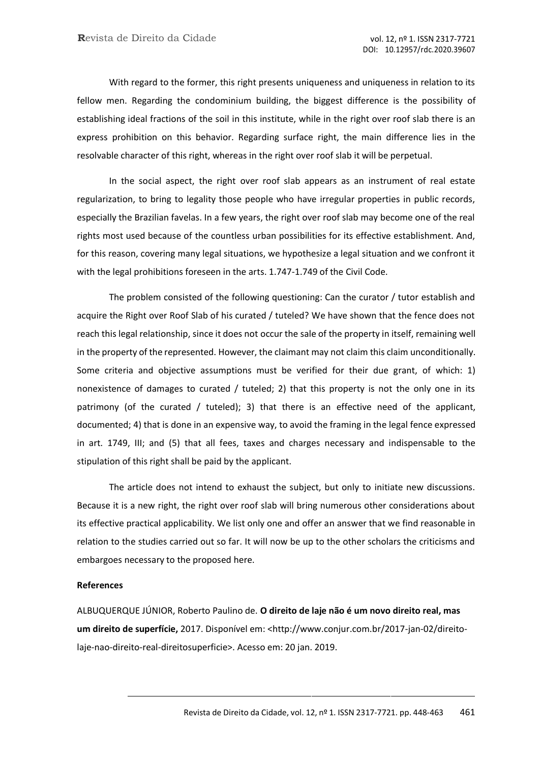With regard to the former, this right presents uniqueness and uniqueness in relation to its fellow men. Regarding the condominium building, the biggest difference is the possibility of establishing ideal fractions of the soil in this institute, while in the right over roof slab there is an express prohibition on this behavior. Regarding surface right, the main difference lies in the resolvable character of this right, whereas in the right over roof slab it will be perpetual.

In the social aspect, the right over roof slab appears as an instrument of real estate regularization, to bring to legality those people who have irregular properties in public records, especially the Brazilian favelas. In a few years, the right over roof slab may become one of the real rights most used because of the countless urban possibilities for its effective establishment. And, for this reason, covering many legal situations, we hypothesize a legal situation and we confront it with the legal prohibitions foreseen in the arts. 1.747-1.749 of the Civil Code.

The problem consisted of the following questioning: Can the curator / tutor establish and acquire the Right over Roof Slab of his curated / tuteled? We have shown that the fence does not reach this legal relationship, since it does not occur the sale of the property in itself, remaining well in the property of the represented. However, the claimant may not claim this claim unconditionally. Some criteria and objective assumptions must be verified for their due grant, of which: 1) nonexistence of damages to curated / tuteled; 2) that this property is not the only one in its patrimony (of the curated / tuteled); 3) that there is an effective need of the applicant, documented; 4) that is done in an expensive way, to avoid the framing in the legal fence expressed in art. 1749, III; and (5) that all fees, taxes and charges necessary and indispensable to the stipulation of this right shall be paid by the applicant.

The article does not intend to exhaust the subject, but only to initiate new discussions. Because it is a new right, the right over roof slab will bring numerous other considerations about its effective practical applicability. We list only one and offer an answer that we find reasonable in relation to the studies carried out so far. It will now be up to the other scholars the criticisms and embargoes necessary to the proposed here.

#### **References**

ALBUQUERQUE JÚNIOR, Roberto Paulino de. **O direito de laje não é um novo direito real, mas um direito de superfície,** 2017. Disponível em: [<http://www.conjur.com.br/2017-jan-02/direito](http://www.conjur.com.br/2017-jan-02/direito-)laje-nao-direito-real-direitosuperficie>. Acesso em: 20 jan. 2019.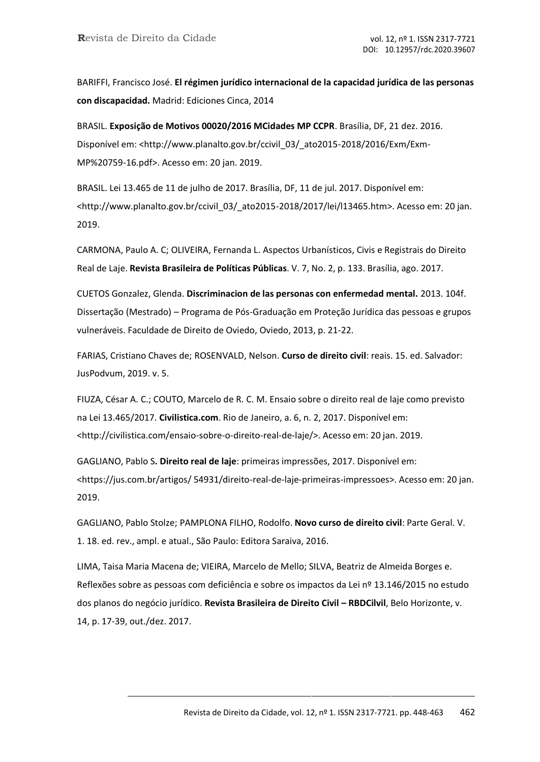BARIFFI, Francisco José. **El régimen jurídico internacional de la capacidad jurídica de las personas con discapacidad.** Madrid: Ediciones Cinca, 2014

BRASIL. **Exposição de Motivos 00020/2016 MCidades MP CCPR**. Brasília, DF, 21 dez. 2016. Disponível em: [<http://www.planalto.gov.br/ccivil\\_03/\\_ato2015-2018/2016/Exm/Exm-](http://www.planalto.gov.br/ccivil_03/_ato2015-2018/2016/Exm/Exm-)MP%20759-16.pdf>. Acesso em: 20 jan. 2019.

BRASIL. Lei 13.465 de 11 de julho de 2017. Brasília, DF, 11 de jul. 2017. Disponível em: [<http://www.planalto.gov.br/ccivil\\_03/\\_ato2015-2018/2017/lei/l13465.htm>](http://www.planalto.gov.br/ccivil_03/_ato2015-2018/2017/lei/l13465.htm). Acesso em: 20 jan. 2019.

CARMONA, Paulo A. C; OLIVEIRA, Fernanda L. Aspectos Urbanísticos, Civis e Registrais do Direito Real de Laje. **Revista Brasileira de Políticas Públicas**. V. 7, No. 2, p. 133. Brasília, ago. 2017.

CUETOS Gonzalez, Glenda. **Discriminacion de las personas con enfermedad mental.** 2013. 104f. Dissertação (Mestrado) – Programa de Pós-Graduação em Proteção Jurídica das pessoas e grupos vulneráveis. Faculdade de Direito de Oviedo, Oviedo, 2013, p. 21-22.

FARIAS, Cristiano Chaves de; ROSENVALD, Nelson. **Curso de direito civil**: reais. 15. ed. Salvador: JusPodvum, 2019. v. 5.

FIUZA, César A. C.; COUTO, Marcelo de R. C. M. Ensaio sobre o direito real de laje como previsto na Lei 13.465/2017. **Civilistica.com**. Rio de Janeiro, a. 6, n. 2, 2017. Disponível em: [<http://civilistica.com/ensaio-sobre-o-direito-real-de-laje/>](http://civilistica.com/ensaio-sobre-o-direito-real-de-laje/). Acesso em: 20 jan. 2019.

GAGLIANO, Pablo S**. Direito real de laje**: primeiras impressões, 2017. Disponível em: <https://jus.com.br/artigos/ 54931/direito-real-de-laje-primeiras-impressoes>. Acesso em: 20 jan. 2019.

GAGLIANO, Pablo Stolze; PAMPLONA FILHO, Rodolfo. **Novo curso de direito civil**: Parte Geral. V. 1. 18. ed. rev., ampl. e atual., São Paulo: Editora Saraiva, 2016.

LIMA, Taisa Maria Macena de; VIEIRA, Marcelo de Mello; SILVA, Beatriz de Almeida Borges e. Reflexões sobre as pessoas com deficiência e sobre os impactos da Lei nº 13.146/2015 no estudo dos planos do negócio jurídico. **Revista Brasileira de Direito Civil – RBDCilvil**, Belo Horizonte, v. 14, p. 17-39, out./dez. 2017.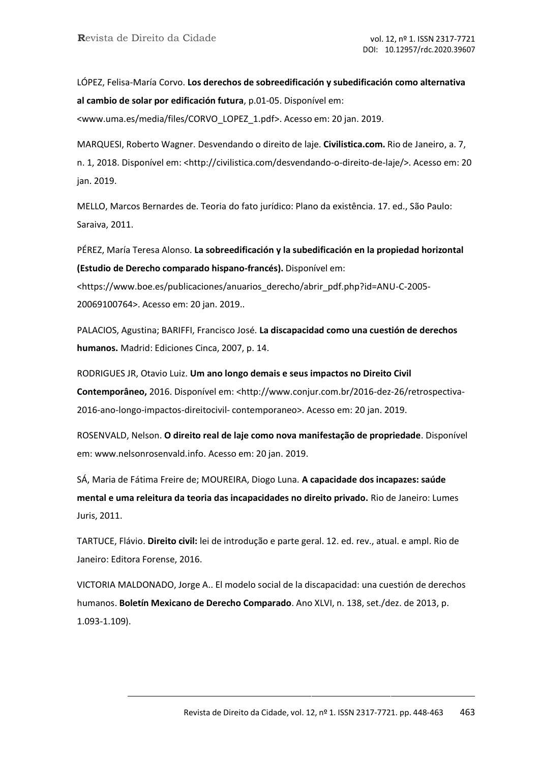LÓPEZ, Felisa-María Corvo. **Los derechos de sobreedificación y subedificación como alternativa al cambio de solar por edificación futura**, p.01-05. Disponível em: [<www.uma.es/media/files/CORVO\\_LOPEZ\\_1.pdf>](http://www.uma.es/media/files/CORVO_LOPEZ_1.pdf). Acesso em: 20 jan. 2019.

MARQUESI, Roberto Wagner. Desvendando o direito de laje. **Civilistica.com.** Rio de Janeiro, a. 7, n. 1, 2018. Disponível em: [<http://civilistica.com/desvendando-o-direito-de-laje/>](http://civilistica.com/desvendando-o-direito-de-laje/). Acesso em: 20 jan. 2019.

MELLO, Marcos Bernardes de. Teoria do fato jurídico: Plano da existência. 17. ed., São Paulo: Saraiva, 2011.

PÉREZ, María Teresa Alonso. **La sobreedificación y la subedificación en la propiedad horizontal (Estudio de Derecho comparado hispano-francés).** Disponível em: <https:/[/www.boe.es/publicaciones/anuarios\\_derecho/abrir\\_pdf.php?id=ANU-C-2005-](http://www.boe.es/publicaciones/anuarios_derecho/abrir_pdf.php?id=ANU-C-2005-) 20069100764>. Acesso em: 20 jan. 2019..

PALACIOS, Agustina; BARIFFI, Francisco José. **La discapacidad como una cuestión de derechos humanos.** Madrid: Ediciones Cinca, 2007, p. 14.

RODRIGUES JR, Otavio Luiz. **Um ano longo demais e seus impactos no Direito Civil Contemporâneo,** 2016. Disponível em: [<http://www.conjur.com.br/2016-dez-26/retrospectiva-](http://www.conjur.com.br/2016-dez-26/retrospectiva-)2016-ano-longo-impactos-direitocivil- contemporaneo>. Acesso em: 20 jan. 2019.

ROSENVALD, Nelson. **O direito real de laje como nova manifestação de propriedade**. Disponível em: [www.nelsonrosenvald.info. A](http://www.nelsonrosenvald.info/)cesso em: 20 jan. 2019.

SÁ, Maria de Fátima Freire de; MOUREIRA, Diogo Luna. **A capacidade dos incapazes: saúde mental e uma releitura da teoria das incapacidades no direito privado.** Rio de Janeiro: Lumes Juris, 2011.

TARTUCE, Flávio. **Direito civil:** lei de introdução e parte geral. 12. ed. rev., atual. e ampl. Rio de Janeiro: Editora Forense, 2016.

VICTORIA MALDONADO, Jorge A.. El modelo social de la discapacidad: una cuestión de derechos humanos. **Boletín Mexicano de Derecho Comparado**. Ano XLVI, n. 138, set./dez. de 2013, p. 1.093-1.109).